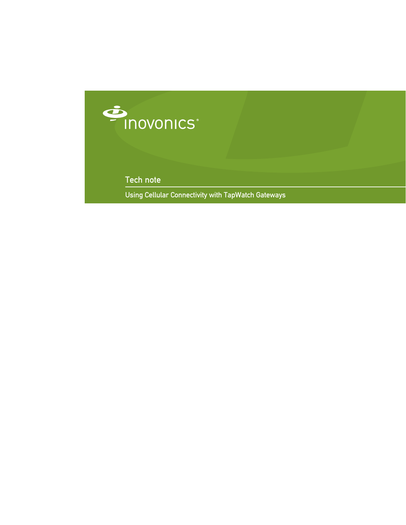

Tech note

Using Cellular Connectivity with TapWatch Gateways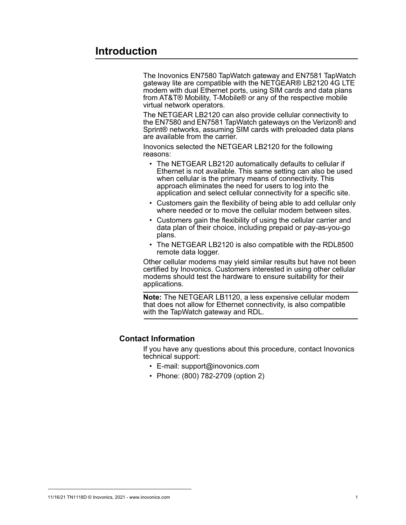## **Introduction**

The Inovonics EN7580 TapWatch gateway and EN7581 TapWatch gateway lite are compatible with the NETGEAR® LB2120 4G LTE modem with dual Ethernet ports, using SIM cards and data plans from AT&T® Mobility, T-Mobile® or any of the respective mobile virtual network operators.

The NETGEAR LB2120 can also provide cellular connectivity to the EN7580 and EN7581 TapWatch gateways on the Verizon® and Sprint® networks, assuming SIM cards with preloaded data plans are available from the carrier.

Inovonics selected the NETGEAR LB2120 for the following reasons:

- The NETGEAR LB2120 automatically defaults to cellular if Ethernet is not available. This same setting can also be used when cellular is the primary means of connectivity. This approach eliminates the need for users to log into the application and select cellular connectivity for a specific site.
- Customers gain the flexibility of being able to add cellular only where needed or to move the cellular modem between sites.
- Customers gain the flexibility of using the cellular carrier and data plan of their choice, including prepaid or pay-as-you-go plans.
- The NETGEAR LB2120 is also compatible with the RDL8500 remote data logger.

Other cellular modems may yield similar results but have not been certified by Inovonics. Customers interested in using other cellular modems should test the hardware to ensure suitability for their applications.

**Note:** The NETGEAR LB1120, a less expensive cellular modem that does not allow for Ethernet connectivity, is also compatible with the TapWatch gateway and RDL.

## **Contact Information**

If you have any questions about this procedure, contact Inovonics technical support:

- E-mail: support@inovonics.com
- Phone: (800) 782-2709 (option 2)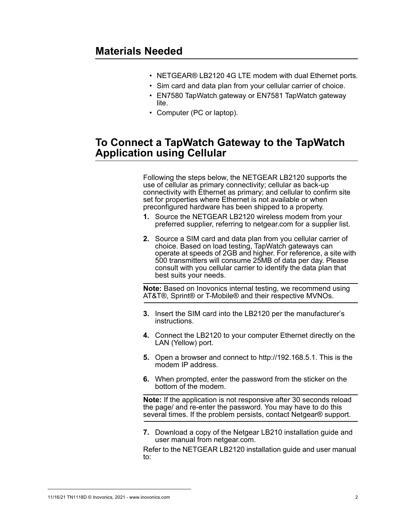- NETGEAR® LB2120 4G LTE modem with dual Ethernet ports.
- Sim card and data plan from your cellular carrier of choice.
- EN7580 TapWatch gateway or EN7581 TapWatch gateway lite.
- Computer (PC or laptop).

## **To Connect a TapWatch Gateway to the TapWatch Application using Cellular**

Following the steps below, the NETGEAR LB2120 supports the use of cellular as primary connectivity; cellular as back-up connectivity with Ethernet as primary; and cellular to confirm site set for properties where Ethernet is not available or when preconfigured hardware has been shipped to a property.

- **1.** Source the NETGEAR LB2120 wireless modem from your preferred supplier, referring to netgear.com for a supplier list.
- **2.** Source a SIM card and data plan from you cellular carrier of choice. Based on load testing, TapWatch gateways can operate at speeds of 2GB and higher. For reference, a site with 500 transmitters will consume 25MB of data per day. Please consult with you cellular carrier to identify the data plan that best suits your needs.

**Note:** Based on Inovonics internal testing, we recommend using AT&T®, Sprint® or T-Mobile® and their respective MVNOs.

- **3.** Insert the SIM card into the LB2120 per the manufacturer's instructions.
- **4.** Connect the LB2120 to your computer Ethernet directly on the LAN (Yellow) port.
- **5.** Open a browser and connect to http://192.168.5.1. This is the modem IP address.
- **6.** When prompted, enter the password from the sticker on the bottom of the modem.

**Note:** If the application is not responsive after 30 seconds reload the page/ and re-enter the password. You may have to do this several times. If the problem persists, contact Netgear® support.

**7.** Download a copy of the Netgear LB210 installation guide and user manual from netgear.com.

Refer to the NETGEAR LB2120 installation guide and user manual to: